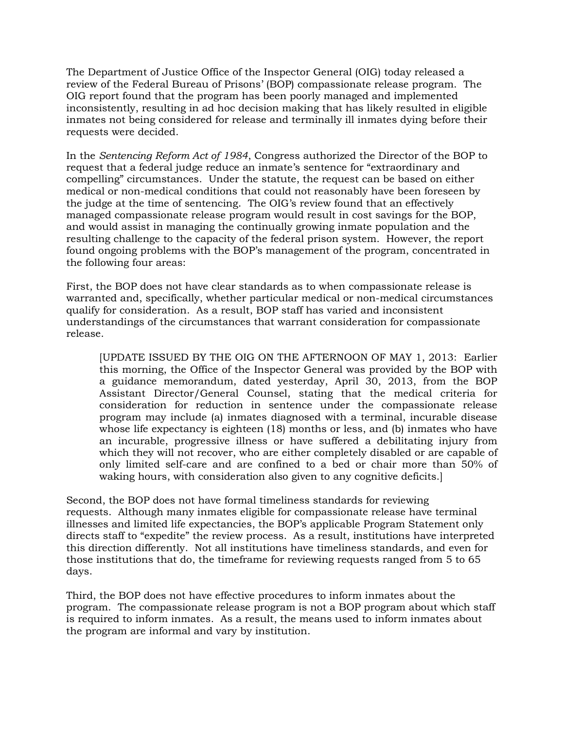The Department of Justice Office of the Inspector General (OIG) today released a review of the Federal Bureau of Prisons' (BOP) compassionate release program. The OIG report found that the program has been poorly managed and implemented inconsistently, resulting in ad hoc decision making that has likely resulted in eligible inmates not being considered for release and terminally ill inmates dying before their requests were decided.

In the *Sentencing Reform Act of 1984*, Congress authorized the Director of the BOP to request that a federal judge reduce an inmate's sentence for "extraordinary and compelling" circumstances. Under the statute, the request can be based on either medical or non-medical conditions that could not reasonably have been foreseen by the judge at the time of sentencing. The OIG's review found that an effectively managed compassionate release program would result in cost savings for the BOP, and would assist in managing the continually growing inmate population and the resulting challenge to the capacity of the federal prison system. However, the report found ongoing problems with the BOP's management of the program, concentrated in the following four areas:

First, the BOP does not have clear standards as to when compassionate release is warranted and, specifically, whether particular medical or non-medical circumstances qualify for consideration. As a result, BOP staff has varied and inconsistent understandings of the circumstances that warrant consideration for compassionate release.

[UPDATE ISSUED BY THE OIG ON THE AFTERNOON OF MAY 1, 2013: Earlier this morning, the Office of the Inspector General was provided by the BOP with a guidance memorandum, dated yesterday, April 30, 2013, from the BOP Assistant Director/General Counsel, stating that the medical criteria for consideration for reduction in sentence under the compassionate release program may include (a) inmates diagnosed with a terminal, incurable disease whose life expectancy is eighteen (18) months or less, and (b) inmates who have an incurable, progressive illness or have suffered a debilitating injury from which they will not recover, who are either completely disabled or are capable of only limited self-care and are confined to a bed or chair more than 50% of waking hours, with consideration also given to any cognitive deficits.]

Second, the BOP does not have formal timeliness standards for reviewing requests. Although many inmates eligible for compassionate release have terminal illnesses and limited life expectancies, the BOP's applicable Program Statement only directs staff to "expedite" the review process. As a result, institutions have interpreted this direction differently. Not all institutions have timeliness standards, and even for those institutions that do, the timeframe for reviewing requests ranged from 5 to 65 days.

Third, the BOP does not have effective procedures to inform inmates about the program. The compassionate release program is not a BOP program about which staff is required to inform inmates. As a result, the means used to inform inmates about the program are informal and vary by institution.